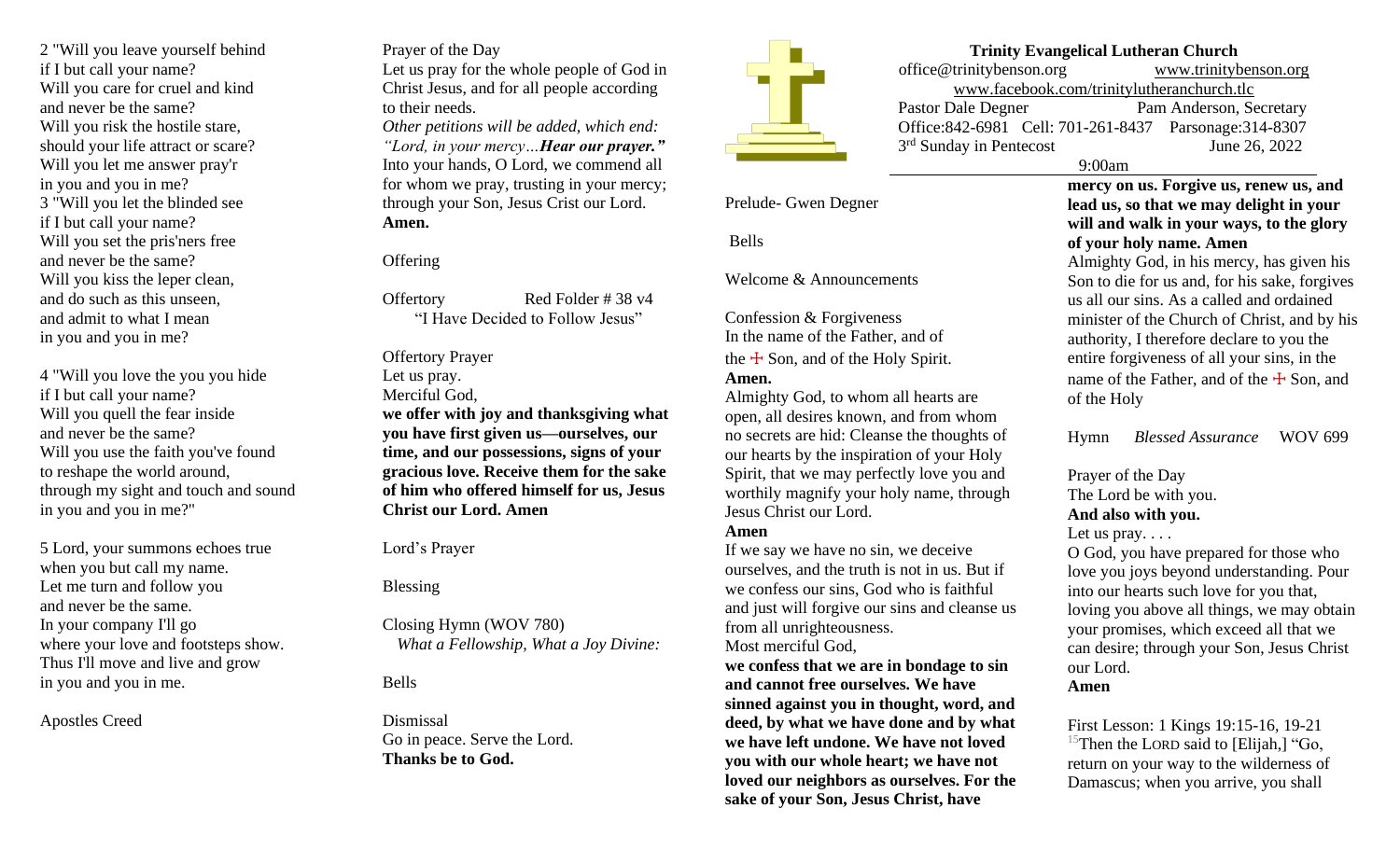2 "Will you leave yourself behind if I but call your name? Will you care for cruel and kind and never be the same? Will you risk the hostile stare. should your life attract or scare? Will you let me answer pray'r in you and you in me? 3 "Will you let the blinded see if I but call your name? Will you set the pris'ners free and never be the same? Will you kiss the leper clean, and do such as this unseen, and admit to what I mean in you and you in me?

4 "Will you love the you you hide if I but call your name? Will you quell the fear inside and never be the same? Will you use the faith you've found to reshape the world around, through my sight and touch and sound in you and you in me?"

5 Lord, your summons echoes true when you but call my name. Let me turn and follow you and never be the same. In your company I'll go where your love and footsteps show. Thus I'll move and live and grow in you and you in me.

Apostles Creed

### Prayer of the Day

Let us pray for the whole people of God in Christ Jesus, and for all people according to their needs.

*Other petitions will be added, which end: "Lord, in your mercy…Hear our prayer."* Into your hands, O Lord, we commend all for whom we pray, trusting in your mercy; through your Son, Jesus Crist our Lord. **Amen.**

#### **Offering**

Offertory Red Folder # 38 v4 "I Have Decided to Follow Jesus"

Offertory Prayer Let us pray. Merciful God, **we offer with joy and thanksgiving what you have first given us—ourselves, our time, and our possessions, signs of your gracious love. Receive them for the sake of him who offered himself for us, Jesus Christ our Lord. Amen**

Lord's Prayer

Blessing

Closing Hymn (WOV 780) *What a Fellowship, What a Joy Divine:*

### Bells

Dismissal Go in peace. Serve the Lord. **Thanks be to God.**



# **Trinity Evangelical Lutheran Church**

office@trinitybenson.org [www.trinitybenson.org](http://www.trinitybenson.org/) [www.facebook.com/trinitylutheranchurch.tlc](http://www.facebook.com/trinitylutheranchurch.tlc) Pastor Dale Degner Pam Anderson, Secretary Office:842-6981 Cell: 701-261-8437 Parsonage:314-8307 3 rd Sunday in Pentecost June 26, 2022 9:00am

Prelude- Gwen Degner

Bells

Welcome & Announcements

Confession & Forgiveness In the name of the Father, and of the  $\pm$  Son, and of the Holy Spirit. **Amen.**

Almighty God, to whom all hearts are open, all desires known, and from whom no secrets are hid: Cleanse the thoughts of our hearts by the inspiration of your Holy Spirit, that we may perfectly love you and worthily magnify your holy name, through Jesus Christ our Lord.

#### **Amen**

If we say we have no sin, we deceive ourselves, and the truth is not in us. But if we confess our sins, God who is faithful and just will forgive our sins and cleanse us from all unrighteousness.

Most merciful God,

**we confess that we are in bondage to sin and cannot free ourselves. We have sinned against you in thought, word, and deed, by what we have done and by what we have left undone. We have not loved you with our whole heart; we have not loved our neighbors as ourselves. For the sake of your Son, Jesus Christ, have** 

**mercy on us. Forgive us, renew us, and lead us, so that we may delight in your will and walk in your ways, to the glory of your holy name. Amen**

Almighty God, in his mercy, has given his Son to die for us and, for his sake, forgives us all our sins. As a called and ordained minister of the Church of Christ, and by his authority, I therefore declare to you the entire forgiveness of all your sins, in the name of the Father, and of the  $\pm$  Son, and of the Holy

Hymn *Blessed Assurance* WOV 699

Prayer of the Day The Lord be with you. **And also with you.**

Let us pray....

O God, you have prepared for those who love you joys beyond understanding. Pour into our hearts such love for you that, loving you above all things, we may obtain your promises, which exceed all that we can desire; through your Son, Jesus Christ our Lord. **Amen**

First Lesson: 1 Kings 19:15-16, 19-21

<sup>15</sup>Then the LORD said to [Elijah,] "Go, return on your way to the wilderness of Damascus; when you arrive, you shall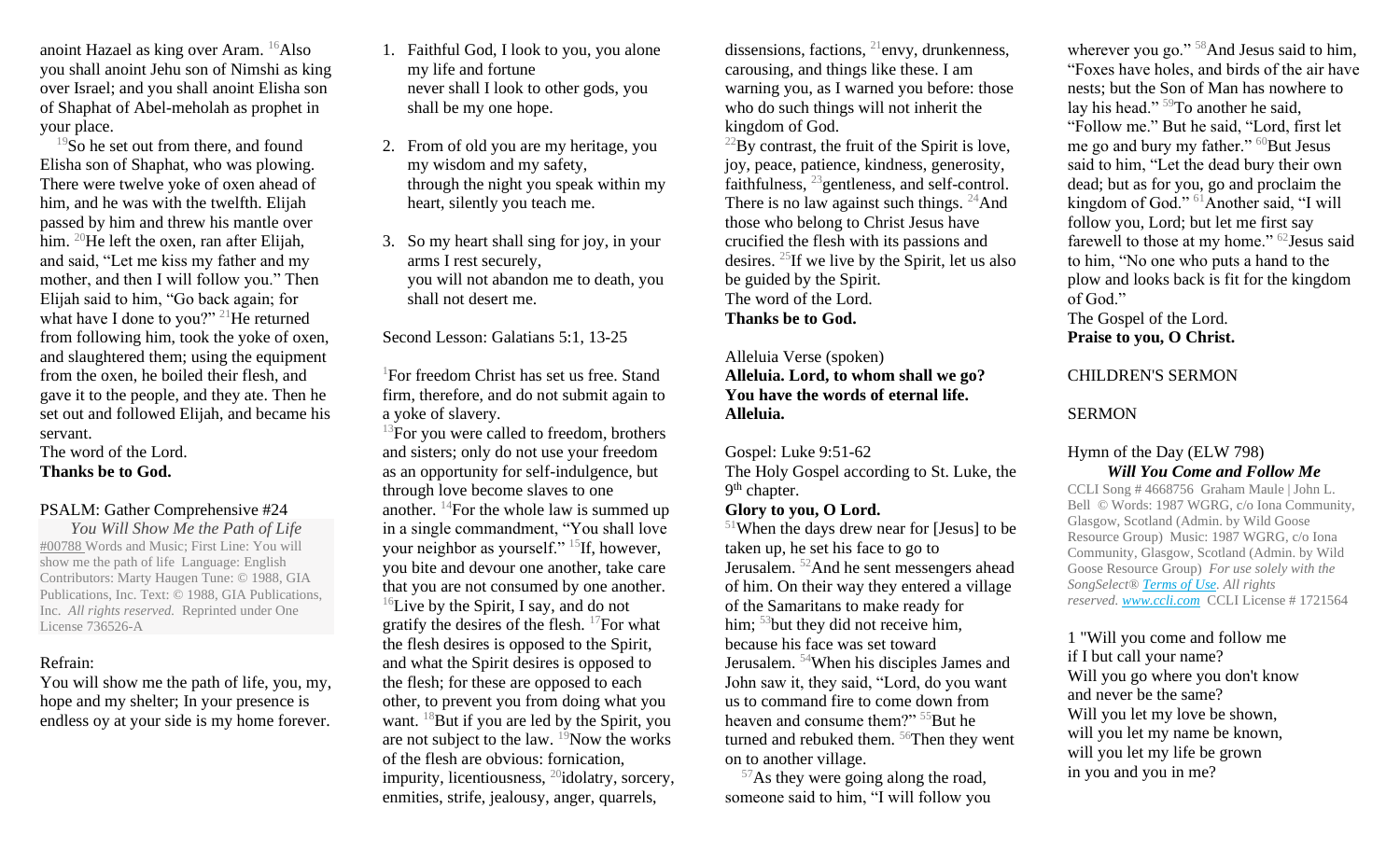anoint Hazael as king over Aram. <sup>16</sup>Also you shall anoint Jehu son of Nimshi as king over Israel; and you shall anoint Elisha son of Shaphat of Abel-meholah as prophet in your place.

 $19$ So he set out from there, and found Elisha son of Shaphat, who was plowing. There were twelve yoke of oxen ahead of him, and he was with the twelfth. Elijah passed by him and threw his mantle over him. <sup>20</sup>He left the oxen, ran after Elijah, and said, "Let me kiss my father and my mother, and then I will follow you." Then Elijah said to him, "Go back again; for what have I done to you?" <sup>21</sup>He returned from following him, took the yoke of oxen, and slaughtered them; using the equipment from the oxen, he boiled their flesh, and gave it to the people, and they ate. Then he set out and followed Elijah, and became his servant.

The word of the Lord. **Thanks be to God.**

# PSALM: Gather Comprehensive #24

*You Will Show Me the Path of Life* [#00788](https://www.onelicense.net/search?term=&hymnal=3&hymn=24&page=1&type=submit-hymn&addition=&downloads-only=false) Words and Music; First Line: You will show me the path of life Language: English Contributors: Marty Haugen Tune: © 1988, GIA Publications, Inc. Text: © 1988, GIA Publications, Inc. *All rights reserved.* Reprinted under One License 736526-A

#### Refrain:

You will show me the path of life, you, my, hope and my shelter; In your presence is endless oy at your side is my home forever.

- 1. Faithful God, I look to you, you alone my life and fortune never shall I look to other gods, you shall be my one hope.
- 2. From of old you are my heritage, you my wisdom and my safety, through the night you speak within my heart, silently you teach me.
- 3. So my heart shall sing for joy, in your arms I rest securely, you will not abandon me to death, you shall not desert me.

Second Lesson: Galatians 5:1, 13-25

<sup>1</sup>For freedom Christ has set us free. Stand firm, therefore, and do not submit again to a yoke of slavery.

 $^{13}$ For you were called to freedom, brothers and sisters; only do not use your freedom as an opportunity for self-indulgence, but through love become slaves to one another.  $^{14}$ For the whole law is summed up in a single commandment, "You shall love your neighbor as yourself."  $^{15}$ If, however, you bite and devour one another, take care that you are not consumed by one another.  $16$ Live by the Spirit, I say, and do not gratify the desires of the flesh.  $^{17}$ For what the flesh desires is opposed to the Spirit,

and what the Spirit desires is opposed to the flesh; for these are opposed to each other, to prevent you from doing what you want. <sup>18</sup>But if you are led by the Spirit, you are not subject to the law.  $19$ Now the works of the flesh are obvious: fornication, impurity, licentiousness, <sup>20</sup>idolatry, sorcery, enmities, strife, jealousy, anger, quarrels,

dissensions, factions,  $^{21}$ envy, drunkenness, carousing, and things like these. I am warning you, as I warned you before: those who do such things will not inherit the kingdom of God.

 $^{22}$ By contrast, the fruit of the Spirit is love, joy, peace, patience, kindness, generosity, faithfulness, <sup>23</sup>gentleness, and self-control. There is no law against such things.  $24$ And those who belong to Christ Jesus have crucified the flesh with its passions and desires. <sup>25</sup>If we live by the Spirit, let us also be guided by the Spirit. The word of the Lord. **Thanks be to God.**

Alleluia Verse (spoken) **Alleluia. Lord, to whom shall we go? You have the words of eternal life. Alleluia.**

Gospel: Luke 9:51-62 The Holy Gospel according to St. Luke, the 9<sup>th</sup> chapter.

**Glory to you, O Lord.**

<sup>51</sup>When the days drew near for [Jesus] to be taken up, he set his face to go to Jerusalem. <sup>52</sup>And he sent messengers ahead of him. On their way they entered a village of the Samaritans to make ready for him; <sup>53</sup>but they did not receive him, because his face was set toward Jerusalem. <sup>54</sup>When his disciples James and John saw it, they said, "Lord, do you want us to command fire to come down from heaven and consume them?"<sup>55</sup>But he turned and rebuked them. <sup>56</sup>Then they went on to another village.

 $57\text{As}$  they were going along the road, someone said to him, "I will follow you

wherever you go." <sup>58</sup>And Jesus said to him, "Foxes have holes, and birds of the air have nests; but the Son of Man has nowhere to lay his head." <sup>59</sup>To another he said, "Follow me." But he said, "Lord, first let me go and bury my father."  $^{60}$ But Jesus said to him, "Let the dead bury their own dead; but as for you, go and proclaim the kingdom of God." <sup>61</sup>Another said, "I will follow you, Lord; but let me first say farewell to those at my home." <sup>62</sup>Jesus said to him, "No one who puts a hand to the plow and looks back is fit for the kingdom of God." The Gospel of the Lord. **Praise to you, O Christ.**

CHILDREN'S SERMON

# SERMON

### Hymn of the Day (ELW 798) *Will You Come and Follow Me*

CCLI Song # 4668756 Graham Maule | John L. Bell © Words: 1987 WGRG, c/o Iona Community, Glasgow, Scotland (Admin. by Wild Goose Resource Group) Music: 1987 WGRG, c/o Iona Community, Glasgow, Scotland (Admin. by Wild Goose Resource Group) *For use solely with the SongSelect® [Terms of Use.](https://songselect.ccli.com/about/termsofuse) All rights reserved. [www.ccli.com](http://www.ccli.com/)* CCLI License # 1721564

1 "Will you come and follow me if I but call your name? Will you go where you don't know and never be the same? Will you let my love be shown, will you let my name be known, will you let my life be grown in you and you in me?